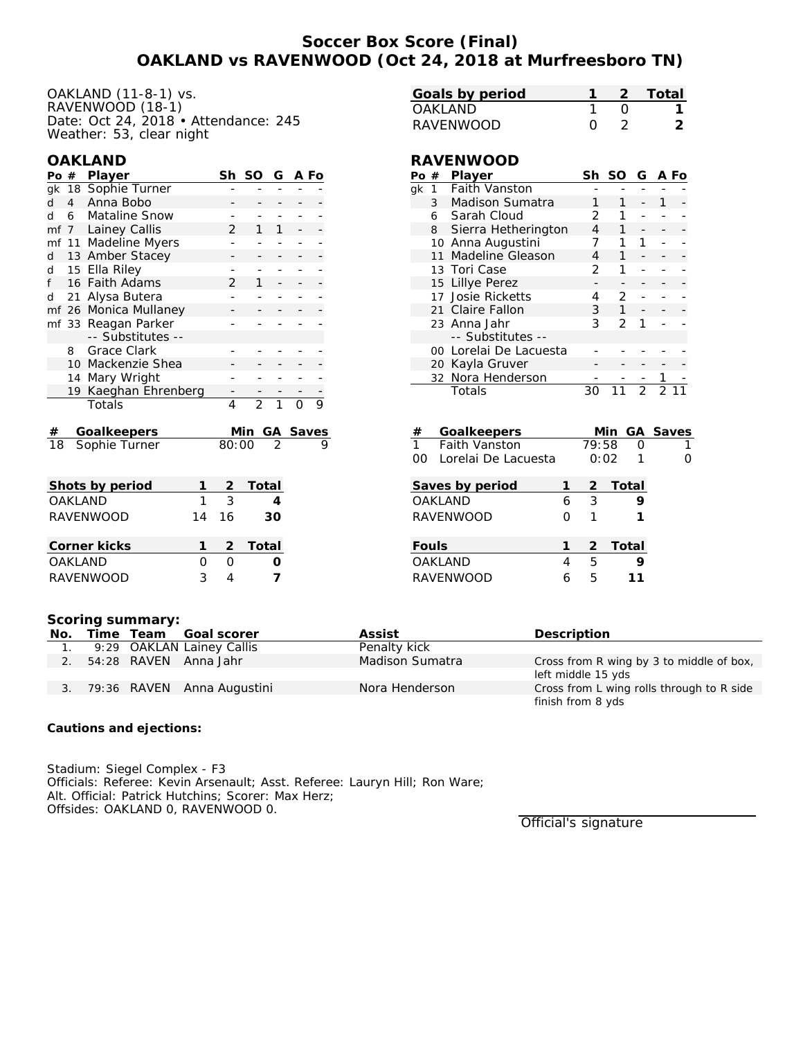# **Soccer Box Score (Final) OAKLAND vs RAVENWOOD (Oct 24, 2018 at Murfreesboro TN)**

OAKLAND (11-8-1) vs. RAVENWOOD (18-1) Date: Oct 24, 2018 • Attendance: 245 Weather: 53, clear night

### **OAKLAND**

| Po #                   |                | Player               |  |                | SO             | G  | A Fo     |  |
|------------------------|----------------|----------------------|--|----------------|----------------|----|----------|--|
|                        |                | gk 18 Sophie Turner  |  |                |                |    |          |  |
| d                      | $\overline{4}$ | Anna Bobo            |  |                |                |    |          |  |
| d                      | 6              | <b>Mataline Snow</b> |  |                |                |    |          |  |
|                        | mf 7           | Lainey Callis        |  | $\mathfrak{D}$ | 1              | 1  |          |  |
| mf                     | 11             | Madeline Myers       |  |                |                |    |          |  |
| d                      |                | 13 Amber Stacey      |  |                |                |    |          |  |
| d                      |                | 15 Ella Riley        |  |                |                |    |          |  |
| f                      | 16             | <b>Faith Adams</b>   |  | $\mathcal{P}$  | 1              |    |          |  |
| d                      | 21             | Alysa Butera         |  |                |                |    |          |  |
|                        | mf 26          | Monica Mullaney      |  |                |                |    |          |  |
|                        |                | mf 33 Reagan Parker  |  |                |                |    |          |  |
|                        |                | -- Substitutes --    |  |                |                |    |          |  |
|                        | 8              | Grace Clark          |  |                |                |    |          |  |
|                        | 10             | Mackenzie Shea       |  |                |                |    |          |  |
|                        | 14             | Mary Wright          |  |                |                |    |          |  |
|                        | 19             | Kaeghan Ehrenberg    |  |                |                |    |          |  |
|                        |                | Totals               |  | 4              | $\overline{2}$ |    |          |  |
|                        |                |                      |  |                |                |    |          |  |
| #                      |                | Goalkeepers          |  |                | Min            |    | GA_Saves |  |
| 18                     |                | Sophie Turner        |  | 80:00          |                |    |          |  |
|                        |                |                      |  |                |                |    |          |  |
|                        |                |                      |  |                |                |    |          |  |
| Shots by period<br>1   |                |                      |  | $\overline{2}$ | Total          |    |          |  |
| <b>OAKLAND</b><br>1    |                |                      |  | 3              |                | 4  |          |  |
| <b>RAVENWOOD</b><br>14 |                |                      |  |                |                | 30 |          |  |

| _____________    | .      |                  | .       |
|------------------|--------|------------------|---------|
| Corner kicks     |        |                  | 2 Total |
| OAKI AND         | $\cap$ | $\left( \right)$ |         |
| <b>RAVENWOOD</b> | 2      |                  |         |
|                  |        |                  |         |

| Goals by period |  | -2 Total |
|-----------------|--|----------|
| OAKI AND        |  |          |
| RAVENWOOD       |  |          |

#### **RAVENWOOD**

| Po $#$               |                | Player                 |   | Sh                   | SO             | G              |                | A Fo  |
|----------------------|----------------|------------------------|---|----------------------|----------------|----------------|----------------|-------|
| gk                   | 1              | <b>Faith Vanston</b>   |   |                      |                |                |                |       |
|                      | 3 <sup>7</sup> | Madison Sumatra        | 1 | $\mathbf{1}$         |                | 1              |                |       |
|                      |                | 6 Sarah Cloud          |   | 2                    | 1              |                |                |       |
|                      | 8              | Sierra Hetherington    |   | 4                    | 1              |                |                |       |
|                      | 10             | Anna Augustini         |   | 7                    | 1              | 1              |                |       |
|                      | 11             | Madeline Gleason       |   | 4                    | $\mathbf{1}$   |                |                |       |
|                      |                | 13 Tori Case           |   | 2                    | 1              |                |                |       |
|                      | 15             | Lillye Perez           |   |                      |                |                |                |       |
|                      | 17             | <b>Josie Ricketts</b>  |   | 4                    | $\overline{2}$ |                |                |       |
|                      | 21             | Claire Fallon          |   | 3                    | $\mathbf{1}$   |                |                |       |
|                      |                | 23 Anna Jahr           |   | 3                    | $\mathcal{P}$  | 1              |                |       |
|                      |                | -- Substitutes --      |   |                      |                |                |                |       |
|                      |                | 00 Lorelai De Lacuesta |   |                      |                |                |                |       |
|                      |                | 20 Kayla Gruver        |   |                      |                |                |                |       |
| Nora Henderson<br>32 |                |                        |   |                      |                |                |                |       |
|                      |                | Totals                 |   | 30                   | 11             | $\overline{2}$ | $\overline{2}$ |       |
|                      |                |                        |   |                      |                |                |                |       |
| #                    |                | Goalkeepers            |   |                      | Min            | GА             |                | Saves |
| $\overline{1}$       |                | <b>Faith Vanston</b>   |   | $\overline{79}$ : 58 |                | Ω              |                | 1     |
| 00                   |                | Lorelai De Lacuesta    |   | 0:02                 |                | 1              |                | 0     |
|                      |                | Saves by period        | 1 | 2                    | Total          |                |                |       |
| OAKLAND<br>6         |                |                        |   |                      |                | 9              |                |       |
| RAVENWOOD<br>Ω       |                |                        |   |                      |                | 1              |                |       |
| 1                    |                |                        |   |                      |                |                |                |       |

| Fouls     |   |              | 2 Total |
|-----------|---|--------------|---------|
| OAKLAND   |   | $\mathsf{h}$ |         |
| RAVENWOOD | Ь | $\mathsf{h}$ | 11      |
|           |   |              |         |

#### **Scoring summary:**

| No. |  | Time Team Goal scorer         | Assist          | Description                               |
|-----|--|-------------------------------|-----------------|-------------------------------------------|
|     |  | 9:29 OAKLAN Lainey Callis     | Penalty kick    |                                           |
| 2.  |  | 54:28 RAVEN Anna Jahr         | Madison Sumatra | Cross from R wing by 3 to middle of box,  |
|     |  |                               |                 | left middle 15 yds                        |
|     |  | 3. 79:36 RAVEN Anna Augustini | Nora Henderson  | Cross from L wing rolls through to R side |
|     |  |                               |                 | finish from 8 yds                         |

**Cautions and ejections:**

Stadium: Siegel Complex - F3 Officials: Referee: Kevin Arsenault; Asst. Referee: Lauryn Hill; Ron Ware; Alt. Official: Patrick Hutchins; Scorer: Max Herz; Offsides: OAKLAND 0, RAVENWOOD 0.

Official's signature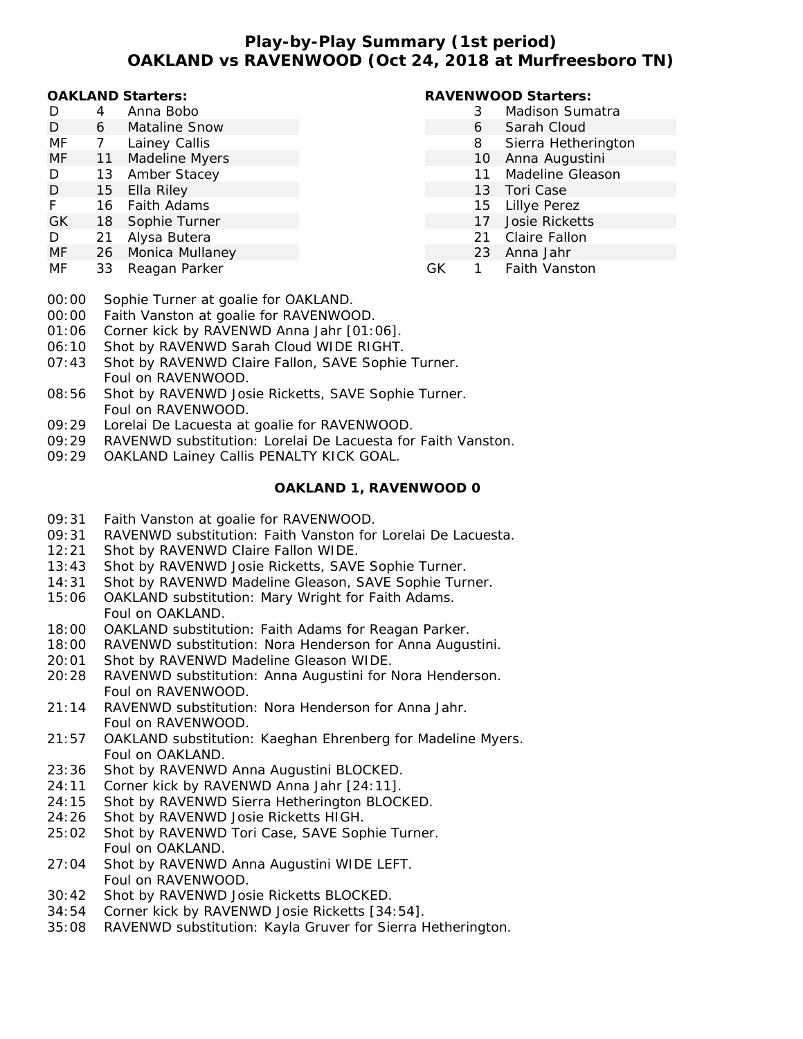# **Play-by-Play Summary (1st period) OAKLAND vs RAVENWOOD (Oct 24, 2018 at Murfreesboro TN)**

#### **OAKLAND Starters:**

| D  | 4 | Anna Bobo     |
|----|---|---------------|
| D  | 6 | Mataline Snow |
| MF |   | Lainey Callis |

- MF 11 Madeline Myers
- D 13 Amber Stacey
- D 15 Ella Rilev
- F 16 Faith Adams
- GK 18 Sophie Turner
- D 21 Alysa Butera
- MF 26 Monica Mullaney
- MF 33 Reagan Parker

## **RAVENWOOD Starters:**

- 3 Madison Sumatra
- 6 Sarah Cloud
- 8 Sierra Hetherington
- 10 Anna Augustini
- 11 Madeline Gleason
- 13 Tori Case
- 15 Lillye Perez
- 17 Josie Ricketts
- 21 Claire Fallon
- 23 Anna Jahr
- GK 1 Faith Vanston
- 00:00 Sophie Turner at goalie for OAKLAND.
- 00:00 Faith Vanston at goalie for RAVENWOOD.
- 01:06 Corner kick by RAVENWD Anna Jahr [01:06].
- 06:10 Shot by RAVENWD Sarah Cloud WIDE RIGHT.
- 07:43 Shot by RAVENWD Claire Fallon, SAVE Sophie Turner. Foul on RAVENWOOD.
- 08:56 Shot by RAVENWD Josie Ricketts, SAVE Sophie Turner. Foul on RAVENWOOD.
- 09:29 Lorelai De Lacuesta at goalie for RAVENWOOD.
- 09:29 RAVENWD substitution: Lorelai De Lacuesta for Faith Vanston.
- 09:29 OAKLAND Lainey Callis PENALTY KICK GOAL.

### **OAKLAND 1, RAVENWOOD 0**

- 09:31 Faith Vanston at goalie for RAVENWOOD.
- 09:31 RAVENWD substitution: Faith Vanston for Lorelai De Lacuesta.
- 12:21 Shot by RAVENWD Claire Fallon WIDE.
- 13:43 Shot by RAVENWD Josie Ricketts, SAVE Sophie Turner.
- 14:31 Shot by RAVENWD Madeline Gleason, SAVE Sophie Turner.
- 15:06 OAKLAND substitution: Mary Wright for Faith Adams. Foul on OAKLAND.
- 18:00 OAKLAND substitution: Faith Adams for Reagan Parker.
- 18:00 RAVENWD substitution: Nora Henderson for Anna Augustini.
- 20:01 Shot by RAVENWD Madeline Gleason WIDE.
- 20:28 RAVENWD substitution: Anna Augustini for Nora Henderson. Foul on RAVENWOOD.
- 21:14 RAVENWD substitution: Nora Henderson for Anna Jahr. Foul on RAVENWOOD.
- 21:57 OAKLAND substitution: Kaeghan Ehrenberg for Madeline Myers. Foul on OAKLAND.
- 23:36 Shot by RAVENWD Anna Augustini BLOCKED.
- 24:11 Corner kick by RAVENWD Anna Jahr [24:11].
- 24:15 Shot by RAVENWD Sierra Hetherington BLOCKED.
- 24:26 Shot by RAVENWD Josie Ricketts HIGH.
- 25:02 Shot by RAVENWD Tori Case, SAVE Sophie Turner. Foul on OAKLAND.
- 27:04 Shot by RAVENWD Anna Augustini WIDE LEFT. Foul on RAVENWOOD.
- 30:42 Shot by RAVENWD Josie Ricketts BLOCKED.
- 34:54 Corner kick by RAVENWD Josie Ricketts [34:54].
- 35:08 RAVENWD substitution: Kayla Gruver for Sierra Hetherington.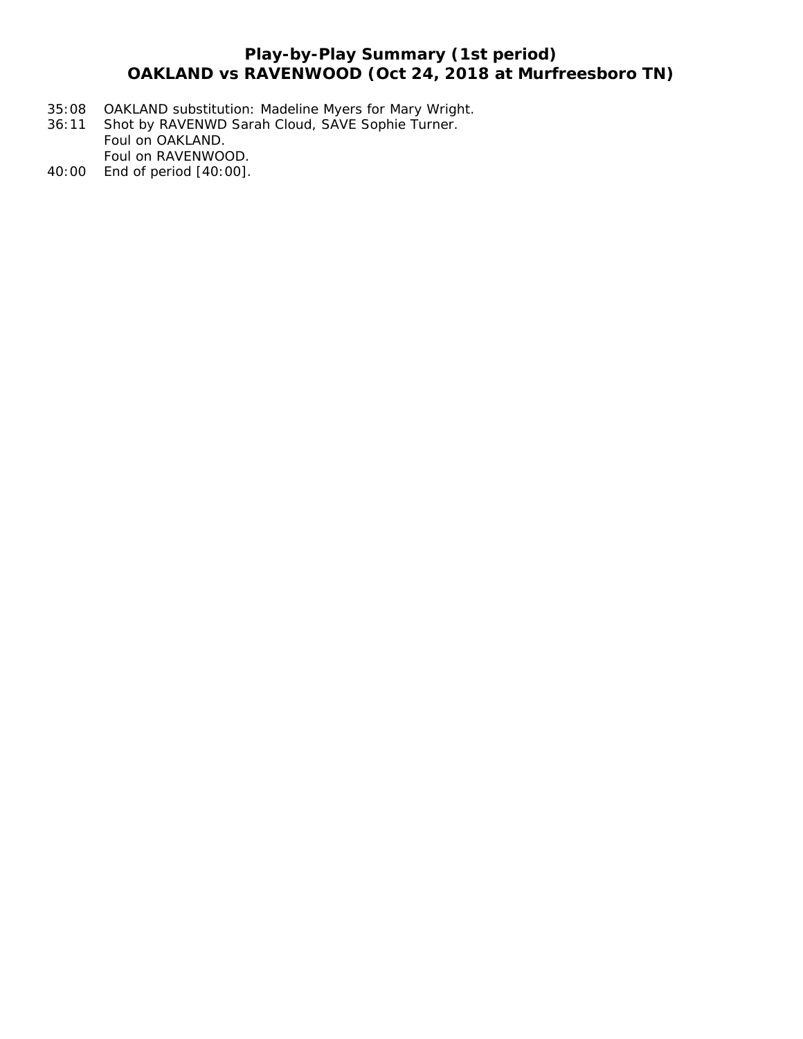# **Play-by-Play Summary (1st period) OAKLAND vs RAVENWOOD (Oct 24, 2018 at Murfreesboro TN)**

- 35:08 OAKLAND substitution: Madeline Myers for Mary Wright.
- 36:11 Shot by RAVENWD Sarah Cloud, SAVE Sophie Turner. Foul on OAKLAND. Foul on RAVENWOOD.
- 40:00 End of period [40:00].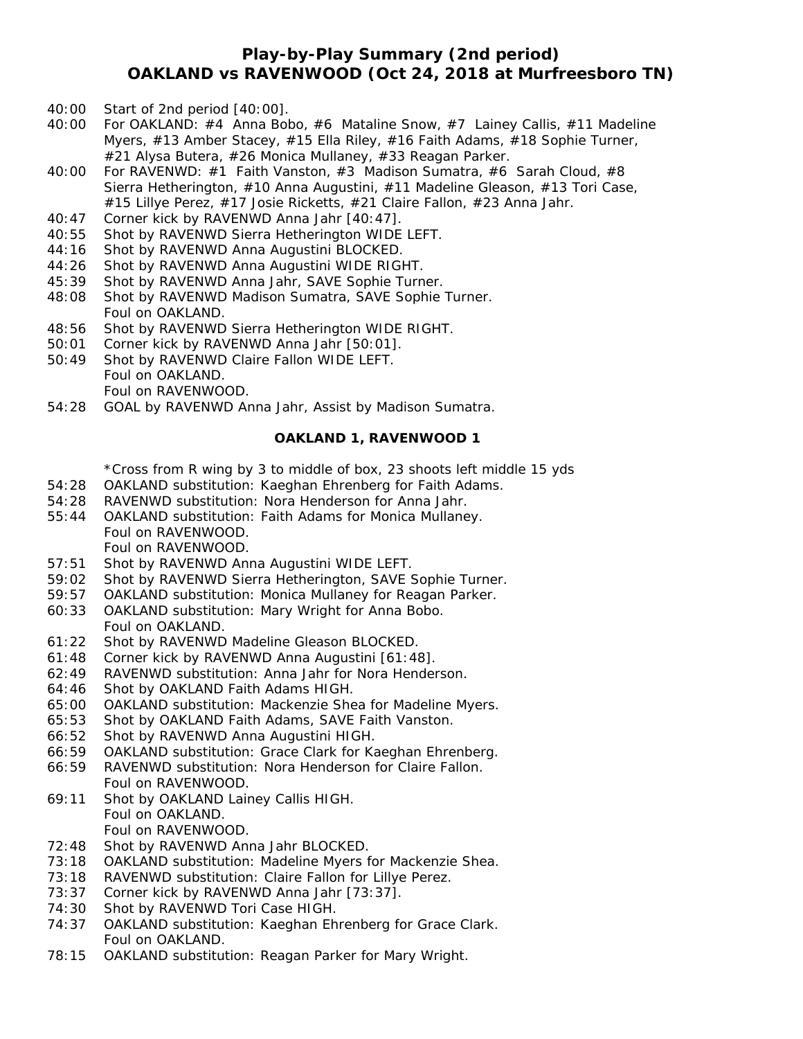# **Play-by-Play Summary (2nd period) OAKLAND vs RAVENWOOD (Oct 24, 2018 at Murfreesboro TN)**

- 40:00 Start of 2nd period [40:00].
- 40:00 For OAKLAND: #4 Anna Bobo, #6 Mataline Snow, #7 Lainey Callis, #11 Madeline Myers, #13 Amber Stacey, #15 Ella Riley, #16 Faith Adams, #18 Sophie Turner, #21 Alysa Butera, #26 Monica Mullaney, #33 Reagan Parker.
- 40:00 For RAVENWD: #1 Faith Vanston, #3 Madison Sumatra, #6 Sarah Cloud, #8 Sierra Hetherington, #10 Anna Augustini, #11 Madeline Gleason, #13 Tori Case, #15 Lillye Perez, #17 Josie Ricketts, #21 Claire Fallon, #23 Anna Jahr.
- 40:47 Corner kick by RAVENWD Anna Jahr [40:47].
- 40:55 Shot by RAVENWD Sierra Hetherington WIDE LEFT.
- 44:16 Shot by RAVENWD Anna Augustini BLOCKED.
- 44:26 Shot by RAVENWD Anna Augustini WIDE RIGHT.
- 45:39 Shot by RAVENWD Anna Jahr, SAVE Sophie Turner.
- 48:08 Shot by RAVENWD Madison Sumatra, SAVE Sophie Turner. Foul on OAKLAND.
- 48:56 Shot by RAVENWD Sierra Hetherington WIDE RIGHT.
- 50:01 Corner kick by RAVENWD Anna Jahr [50:01].
- 50:49 Shot by RAVENWD Claire Fallon WIDE LEFT. Foul on OAKLAND. Foul on RAVENWOOD.
- 54:28 GOAL by RAVENWD Anna Jahr, Assist by Madison Sumatra.

#### **OAKLAND 1, RAVENWOOD 1**

\*Cross from R wing by 3 to middle of box, 23 shoots left middle 15 yds

- 54:28 OAKLAND substitution: Kaeghan Ehrenberg for Faith Adams.
- 54:28 RAVENWD substitution: Nora Henderson for Anna Jahr.
- 55:44 OAKLAND substitution: Faith Adams for Monica Mullaney. Foul on RAVENWOOD. Foul on RAVENWOOD.
- 57:51 Shot by RAVENWD Anna Augustini WIDE LEFT.
- 59:02 Shot by RAVENWD Sierra Hetherington, SAVE Sophie Turner.
- 59:57 OAKLAND substitution: Monica Mullaney for Reagan Parker.
- 60:33 OAKLAND substitution: Mary Wright for Anna Bobo. Foul on OAKLAND.
- 61:22 Shot by RAVENWD Madeline Gleason BLOCKED.
- 61:48 Corner kick by RAVENWD Anna Augustini [61:48].
- 62:49 RAVENWD substitution: Anna Jahr for Nora Henderson.
- 64:46 Shot by OAKLAND Faith Adams HIGH.
- 65:00 OAKLAND substitution: Mackenzie Shea for Madeline Myers.
- 65:53 Shot by OAKLAND Faith Adams, SAVE Faith Vanston.
- 66:52 Shot by RAVENWD Anna Augustini HIGH.
- 66:59 OAKLAND substitution: Grace Clark for Kaeghan Ehrenberg.
- 66:59 RAVENWD substitution: Nora Henderson for Claire Fallon. Foul on RAVENWOOD.
- 69:11 Shot by OAKLAND Lainey Callis HIGH. Foul on OAKLAND. Foul on RAVENWOOD.
- 72:48 Shot by RAVENWD Anna Jahr BLOCKED.
- 73:18 OAKLAND substitution: Madeline Myers for Mackenzie Shea.
- 73:18 RAVENWD substitution: Claire Fallon for Lillye Perez.
- 73:37 Corner kick by RAVENWD Anna Jahr [73:37].
- 74:30 Shot by RAVENWD Tori Case HIGH.
- 74:37 OAKLAND substitution: Kaeghan Ehrenberg for Grace Clark. Foul on OAKLAND.
- 78:15 OAKLAND substitution: Reagan Parker for Mary Wright.